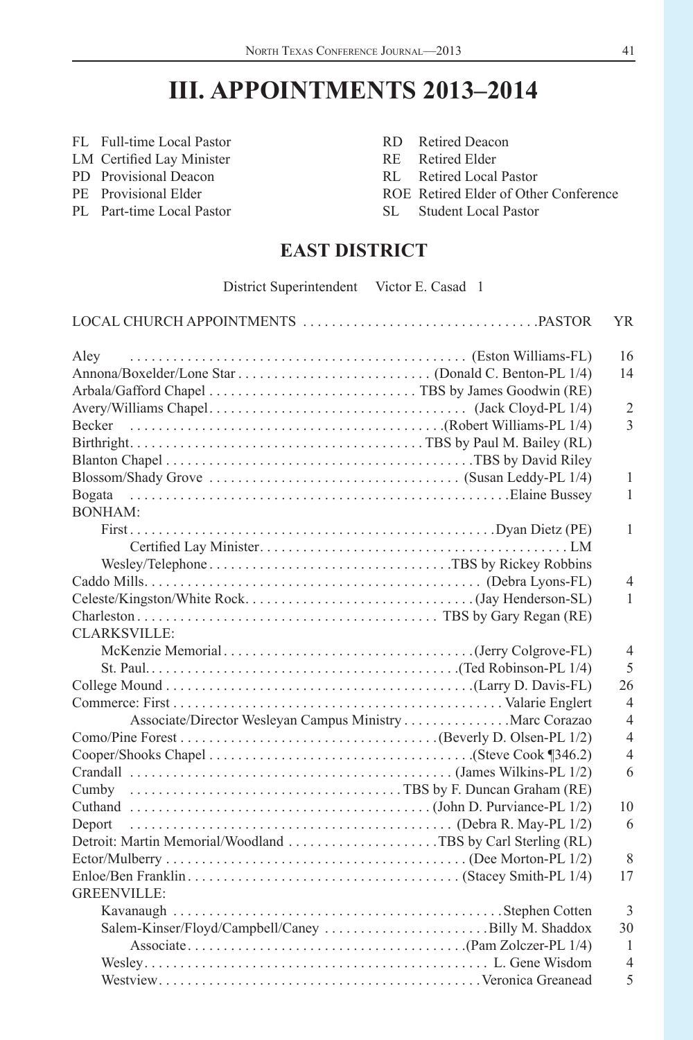# **III. APPOINTMENTS 2013–2014**

- FL Full-time Local Pastor RD Retired Deacon
- LM Certified Lay Minister RE Retired Elder
- PD Provisional Deacon RL Retired Local Pastor
- 
- PL Part-time Local Pastor SL Student Local Pastor
- 
- 
- 
- PE Provisional Elder ROE Retired Elder of Other Conference
	-

# **EAST DISTRICT**

District Superintendent Victor E. Casad 1

|                                                                                                                    | YR.            |
|--------------------------------------------------------------------------------------------------------------------|----------------|
| Aley                                                                                                               | 16             |
|                                                                                                                    | 14             |
|                                                                                                                    |                |
|                                                                                                                    | $\overline{2}$ |
|                                                                                                                    | $\overline{3}$ |
|                                                                                                                    |                |
|                                                                                                                    |                |
|                                                                                                                    | $\mathbf{1}$   |
| Bogata                                                                                                             | $\mathbf{1}$   |
| <b>BONHAM:</b>                                                                                                     |                |
|                                                                                                                    | 1              |
|                                                                                                                    |                |
|                                                                                                                    |                |
|                                                                                                                    | $\overline{4}$ |
|                                                                                                                    | 1              |
|                                                                                                                    |                |
| CLARKSVILLE:                                                                                                       |                |
|                                                                                                                    | $\overline{4}$ |
|                                                                                                                    | 5              |
| (Larry D. Davis-FL). (Larry D. Davis-FL)                                                                           | 26             |
|                                                                                                                    | $\overline{4}$ |
| Associate/Director Wesleyan Campus Ministry Marc Corazao                                                           | $\overline{4}$ |
|                                                                                                                    | $\overline{4}$ |
|                                                                                                                    | $\overline{4}$ |
|                                                                                                                    | 6              |
|                                                                                                                    |                |
|                                                                                                                    | 10             |
| Deport $\ldots \ldots \ldots \ldots \ldots \ldots \ldots \ldots \ldots \ldots \ldots \ldots$ (Debra R. May-PL 1/2) | 6              |
|                                                                                                                    |                |
|                                                                                                                    | 8              |
|                                                                                                                    | 17             |
| <b>GREENVILLE:</b>                                                                                                 |                |
|                                                                                                                    | 3              |
| Salem-Kinser/Floyd/Campbell/Caney Billy M. Shaddox                                                                 | 30             |
|                                                                                                                    | -1             |
|                                                                                                                    | $\overline{4}$ |
|                                                                                                                    | 5              |
|                                                                                                                    |                |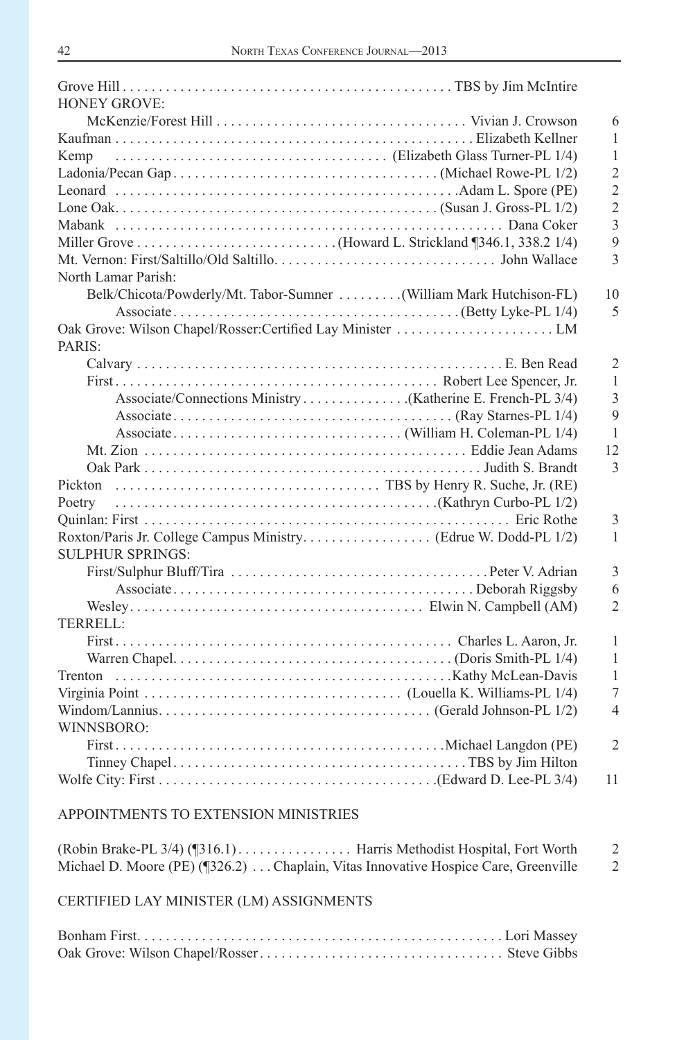| <b>HONEY GROVE:</b>                                                 |                |
|---------------------------------------------------------------------|----------------|
|                                                                     | 6              |
|                                                                     | 1              |
| (Elizabeth Glass Turner-PL 1/4)<br>Kemp                             | 1              |
|                                                                     | $\overline{2}$ |
|                                                                     | $\overline{2}$ |
|                                                                     | $\overline{2}$ |
|                                                                     | 3              |
|                                                                     | 9              |
|                                                                     | 3              |
| North Lamar Parish:                                                 |                |
| Belk/Chicota/Powderly/Mt. Tabor-Sumner  (William Mark Hutchison-FL) | 10             |
|                                                                     | 5              |
|                                                                     |                |
| PARIS:                                                              |                |
|                                                                     | $\overline{c}$ |
|                                                                     | 1              |
|                                                                     | $\overline{3}$ |
|                                                                     | 9              |
|                                                                     | $\mathbf{1}$   |
|                                                                     | 12             |
|                                                                     | 3              |
|                                                                     |                |
|                                                                     |                |
|                                                                     | 3              |
|                                                                     | 1              |
| <b>SULPHUR SPRINGS:</b>                                             |                |
|                                                                     | 3              |
|                                                                     | 6              |
|                                                                     | $\overline{2}$ |
| <b>TERRELL:</b>                                                     |                |
|                                                                     | 1              |
|                                                                     | 1              |
|                                                                     | 1              |
|                                                                     | 7              |
|                                                                     | $\overline{4}$ |
| WINNSBORO:                                                          |                |
|                                                                     | $\overline{2}$ |
|                                                                     |                |
|                                                                     | 11             |
|                                                                     |                |

| Michael D. Moore (PE) $($ 326.2)  Chaplain, Vitas Innovative Hospice Care, Greenville |  |
|---------------------------------------------------------------------------------------|--|

CERTIFIED LAY MINISTER (LM) ASSIGNMENTS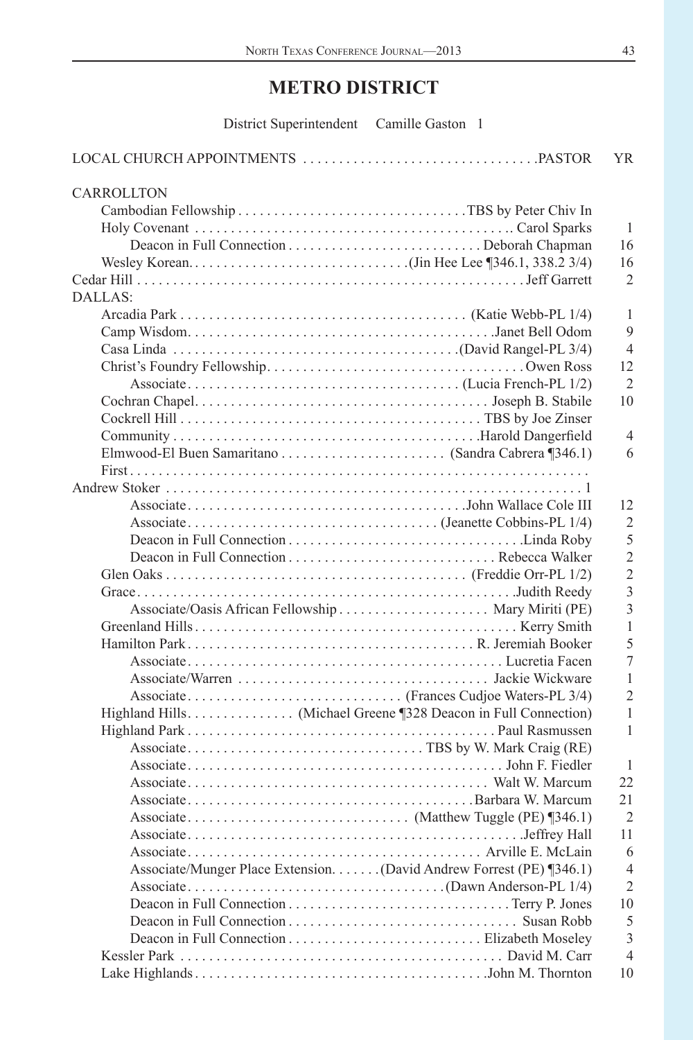# **METRO DISTRICT**

| District Superintendent Camille Gaston 1                             |                |
|----------------------------------------------------------------------|----------------|
|                                                                      | YR.            |
| CARROLLTON                                                           |                |
|                                                                      |                |
|                                                                      | 1              |
|                                                                      | 16             |
|                                                                      | 16             |
|                                                                      | $\overline{2}$ |
| DALLAS:                                                              |                |
|                                                                      | 1              |
|                                                                      | 9              |
|                                                                      | $\overline{4}$ |
|                                                                      | 12             |
|                                                                      | $\overline{2}$ |
|                                                                      | 10             |
|                                                                      |                |
|                                                                      | $\overline{4}$ |
|                                                                      | 6              |
|                                                                      |                |
|                                                                      |                |
|                                                                      | 12<br>2        |
|                                                                      | 5              |
|                                                                      | $\overline{2}$ |
|                                                                      | $\overline{2}$ |
|                                                                      | $\overline{3}$ |
|                                                                      | $\overline{3}$ |
|                                                                      | $\mathbf{1}$   |
|                                                                      | 5              |
|                                                                      | $\overline{7}$ |
|                                                                      | $\mathbf{1}$   |
|                                                                      | $\overline{2}$ |
|                                                                      | $\mathbf{1}$   |
|                                                                      | $\mathbf{1}$   |
|                                                                      |                |
|                                                                      | $\mathbf{1}$   |
|                                                                      | 22             |
|                                                                      | 21             |
|                                                                      | $\overline{2}$ |
|                                                                      | 11             |
|                                                                      | 6              |
| Associate/Munger Place Extension. (David Andrew Forrest (PE) [346.1) | $\overline{4}$ |
|                                                                      | $\overline{2}$ |
|                                                                      | 10             |
|                                                                      | 5              |
|                                                                      | $\overline{3}$ |
|                                                                      | $\overline{4}$ |
|                                                                      | 10             |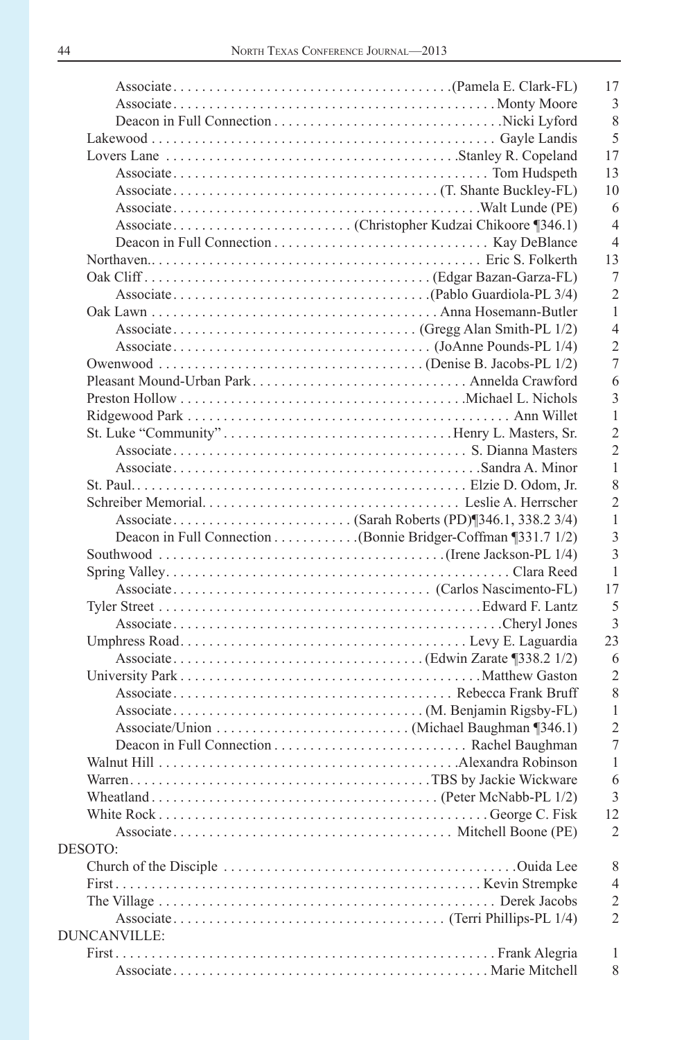|              | 17             |
|--------------|----------------|
|              | 3              |
|              | 8              |
|              | 5              |
|              | 17             |
|              | 13             |
|              | 10             |
|              | 6              |
|              | $\overline{4}$ |
|              | $\overline{4}$ |
|              | 13             |
|              | 7              |
|              | $\overline{2}$ |
|              | $\mathbf{1}$   |
|              | $\overline{4}$ |
|              | $\overline{2}$ |
|              | $\overline{7}$ |
|              | 6              |
|              | 3              |
|              | $\mathbf{1}$   |
|              | $\overline{2}$ |
|              |                |
|              | $\overline{2}$ |
|              | 1              |
|              | 8              |
|              | $\overline{2}$ |
|              | 1              |
|              | 3              |
|              | $\overline{3}$ |
|              | $\mathbf{1}$   |
|              | 17             |
|              | 5              |
|              | $\overline{3}$ |
|              | 23             |
|              | 6              |
|              | $\overline{2}$ |
|              | 8              |
|              |                |
|              | 1              |
|              |                |
|              | $\overline{2}$ |
|              | $\overline{7}$ |
|              | 1              |
|              | 6              |
|              | 3              |
|              | 12             |
|              | $\overline{2}$ |
| DESOTO:      |                |
|              | 8              |
|              | 4              |
|              | $\overline{2}$ |
|              | $\overline{2}$ |
| DUNCANVILLE: |                |
|              | 1<br>8         |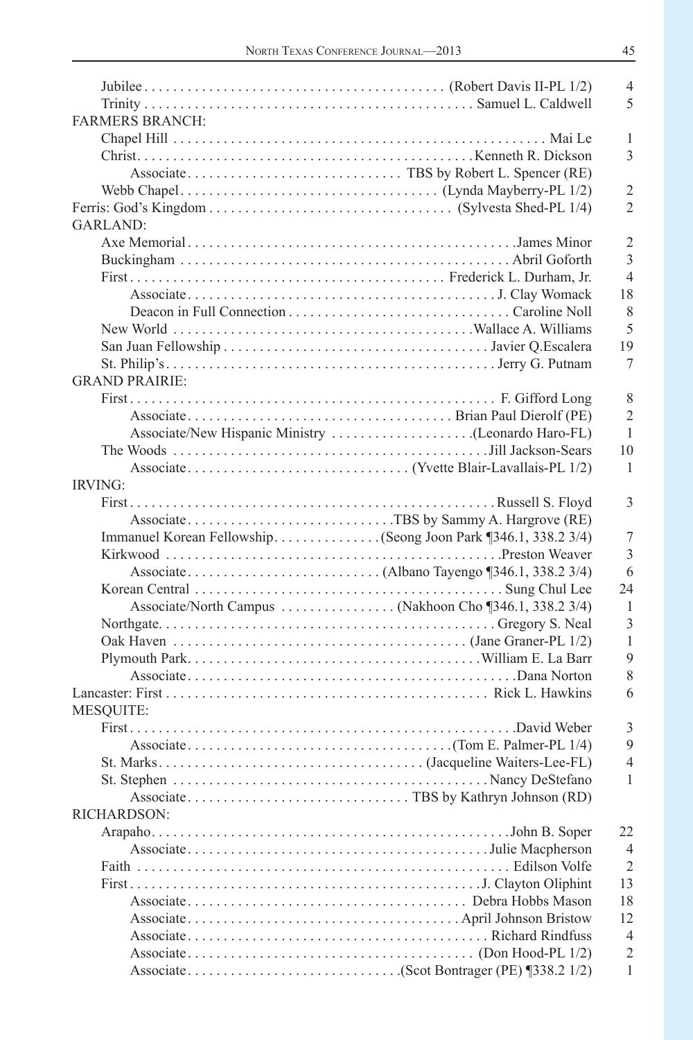|                        | $\overline{4}$ |
|------------------------|----------------|
|                        | 5              |
| <b>FARMERS BRANCH:</b> |                |
|                        | 1              |
|                        | 3              |
|                        |                |
|                        |                |
|                        | $\overline{2}$ |
|                        | $\overline{2}$ |
| <b>GARLAND:</b>        |                |
|                        | $\overline{2}$ |
|                        | 3              |
|                        | $\overline{4}$ |
|                        | 18             |
|                        | 8              |
|                        | 5              |
|                        | 19             |
|                        | 7              |
| <b>GRAND PRAIRIE:</b>  |                |
|                        | 8              |
|                        | $\overline{2}$ |
|                        |                |
|                        | $\overline{1}$ |
|                        | 10             |
|                        | $\mathbf{1}$   |
| IRVING:                |                |
|                        | 3              |
|                        |                |
|                        | 7              |
|                        | 3              |
|                        | 6              |
|                        | 24             |
|                        | $\mathbf{1}$   |
|                        | 3              |
|                        | 1              |
|                        | 9              |
|                        |                |
|                        | 8              |
|                        | 6              |
| <b>MESQUITE:</b>       |                |
|                        | 3              |
|                        | 9              |
|                        | $\overline{4}$ |
|                        | $\mathbf{1}$   |
|                        |                |
| <b>RICHARDSON:</b>     |                |
|                        | 22             |
|                        | $\overline{4}$ |
|                        | $\overline{2}$ |
|                        |                |
|                        |                |
|                        | 13             |
|                        | 18             |
|                        | 12             |
|                        | $\overline{4}$ |
|                        | $\overline{2}$ |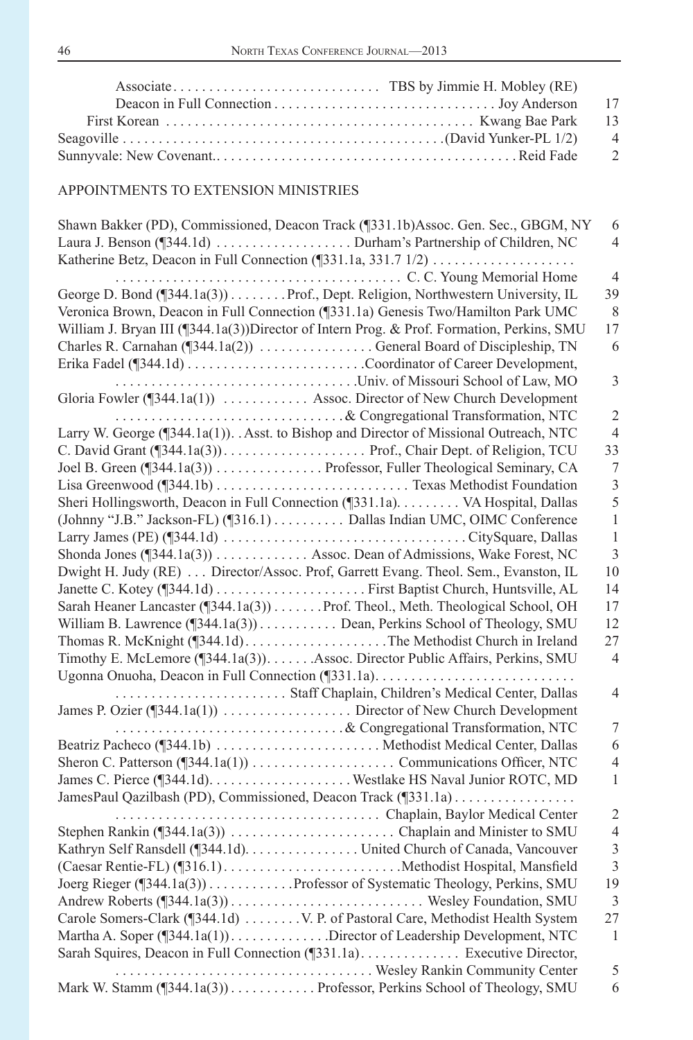| -13            |
|----------------|
| $\overline{4}$ |
| $\overline{2}$ |

| Shawn Bakker (PD), Commissioned, Deacon Track (¶331.1b)Assoc. Gen. Sec., GBGM, NY          | 6                              |
|--------------------------------------------------------------------------------------------|--------------------------------|
|                                                                                            | $\overline{4}$                 |
|                                                                                            |                                |
| C. C. Young Memorial Home                                                                  | $\overline{4}$                 |
| George D. Bond (¶344.1a(3)) Prof., Dept. Religion, Northwestern University, IL             | 39                             |
| Veronica Brown, Deacon in Full Connection (¶331.1a) Genesis Two/Hamilton Park UMC          | $\,8\,$                        |
| William J. Bryan III (1344.1a(3)) Director of Intern Prog. & Prof. Formation, Perkins, SMU | 17                             |
|                                                                                            | 6                              |
|                                                                                            |                                |
|                                                                                            | 3                              |
| Gloria Fowler (¶344.1a(1))  Assoc. Director of New Church Development                      |                                |
| & Congregational Transformation, NTC                                                       | $\sqrt{2}$                     |
| Larry W. George (¶344.1a(1)). . Asst. to Bishop and Director of Missional Outreach, NTC    | $\overline{4}$                 |
|                                                                                            | 33                             |
| Joel B. Green (¶344.1a(3)) Professor, Fuller Theological Seminary, CA                      | $\tau$                         |
|                                                                                            | $\overline{3}$                 |
|                                                                                            | 5                              |
|                                                                                            | $\,1\,$                        |
| (Johnny "J.B." Jackson-FL) (1316.1) Dallas Indian UMC, OIMC Conference                     |                                |
|                                                                                            | $\mathbf{1}$<br>$\overline{3}$ |
| Shonda Jones (¶344.1a(3)) Assoc. Dean of Admissions, Wake Forest, NC                       | 10                             |
| Dwight H. Judy (RE)  Director/Assoc. Prof, Garrett Evang. Theol. Sem., Evanston, IL        |                                |
|                                                                                            | 14                             |
| Sarah Heaner Lancaster (¶344.1a(3)) Prof. Theol., Meth. Theological School, OH             | 17                             |
| William B. Lawrence (¶344.1a(3)) Dean, Perkins School of Theology, SMU                     | 12                             |
| Thomas R. McKnight (¶344.1d)The Methodist Church in Ireland                                | 27                             |
| Timothy E. McLemore (1344.1a(3)). Assoc. Director Public Affairs, Perkins, SMU             | $\overline{4}$                 |
|                                                                                            |                                |
|                                                                                            | $\overline{4}$                 |
|                                                                                            |                                |
| & Congregational Transformation, NTC                                                       | 7                              |
|                                                                                            | 6                              |
|                                                                                            | $\overline{4}$                 |
|                                                                                            | $\mathbf{1}$                   |
| JamesPaul Qazilbash (PD), Commissioned, Deacon Track (¶331.1a)                             |                                |
|                                                                                            | $\overline{c}$                 |
|                                                                                            | $\overline{4}$                 |
| Kathryn Self Ransdell (¶344.1d). United Church of Canada, Vancouver                        | $\overline{3}$                 |
|                                                                                            | $\overline{3}$                 |
| Joerg Rieger (¶344.1a(3)) Professor of Systematic Theology, Perkins, SMU                   | 19                             |
|                                                                                            | $\overline{3}$                 |
|                                                                                            | 27                             |
| Martha A. Soper (¶344.1a(1)). Director of Leadership Development, NTC                      | $\mathbf{1}$                   |
| Sarah Squires, Deacon in Full Connection (1331.1a) Executive Director,                     |                                |
|                                                                                            | 5                              |
| Mark W. Stamm (1344.1a(3)) Professor, Perkins School of Theology, SMU                      | 6                              |
|                                                                                            |                                |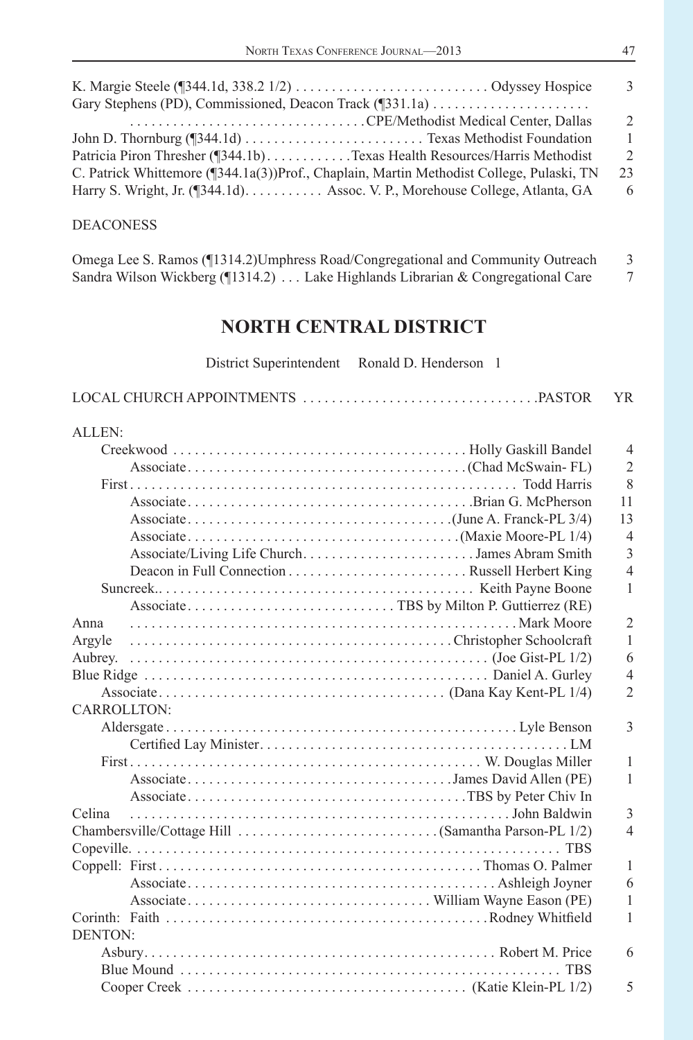|                                                                                          | -3            |
|------------------------------------------------------------------------------------------|---------------|
|                                                                                          |               |
|                                                                                          | $\mathcal{L}$ |
|                                                                                          | -1            |
| Patricia Piron Thresher (1944.1b)Texas Health Resources/Harris Methodist                 | $\mathcal{D}$ |
| C. Patrick Whittemore (¶344.1a(3))Prof., Chaplain, Martin Methodist College, Pulaski, TN | 23            |
| Harry S. Wright, Jr. (1344.1d) Assoc. V. P., Morehouse College, Atlanta, GA              | -6            |
|                                                                                          |               |

### DEACONESS

| Omega Lee S. Ramos (¶1314.2) Umphress Road/Congregational and Community Outreach      |  |
|---------------------------------------------------------------------------------------|--|
| Sandra Wilson Wickberg ( $\P$ 1314.2)  Lake Highlands Librarian & Congregational Care |  |

# **NORTH CENTRAL DISTRICT**

| District Superintendent Ronald D. Henderson 1 |                |
|-----------------------------------------------|----------------|
|                                               | <b>YR</b>      |
| ALLEN:                                        |                |
|                                               | $\overline{4}$ |
|                                               | $\overline{2}$ |
|                                               | 8              |
|                                               | 11             |
|                                               | 13             |
|                                               | $\overline{4}$ |
| Associate/Living Life ChurchJames Abram Smith | 3              |
|                                               | $\overline{4}$ |
|                                               | 1              |
|                                               |                |
| Anna                                          | $\overline{2}$ |
| Argyle                                        | 1              |
| Aubrey.                                       | 6              |
|                                               | $\overline{4}$ |
|                                               | $\overline{2}$ |
| <b>CARROLLTON:</b>                            |                |
|                                               | 3              |
|                                               |                |
|                                               | $\mathbf{1}$   |
|                                               | $\mathbf{1}$   |
|                                               |                |
| Celina                                        | 3              |
|                                               | $\overline{4}$ |
|                                               |                |
|                                               | $\mathbf{1}$   |
|                                               | 6              |
|                                               | 1              |
|                                               | $\mathbf{1}$   |
| <b>DENTON:</b>                                |                |
|                                               | 6              |
|                                               |                |
|                                               | 5              |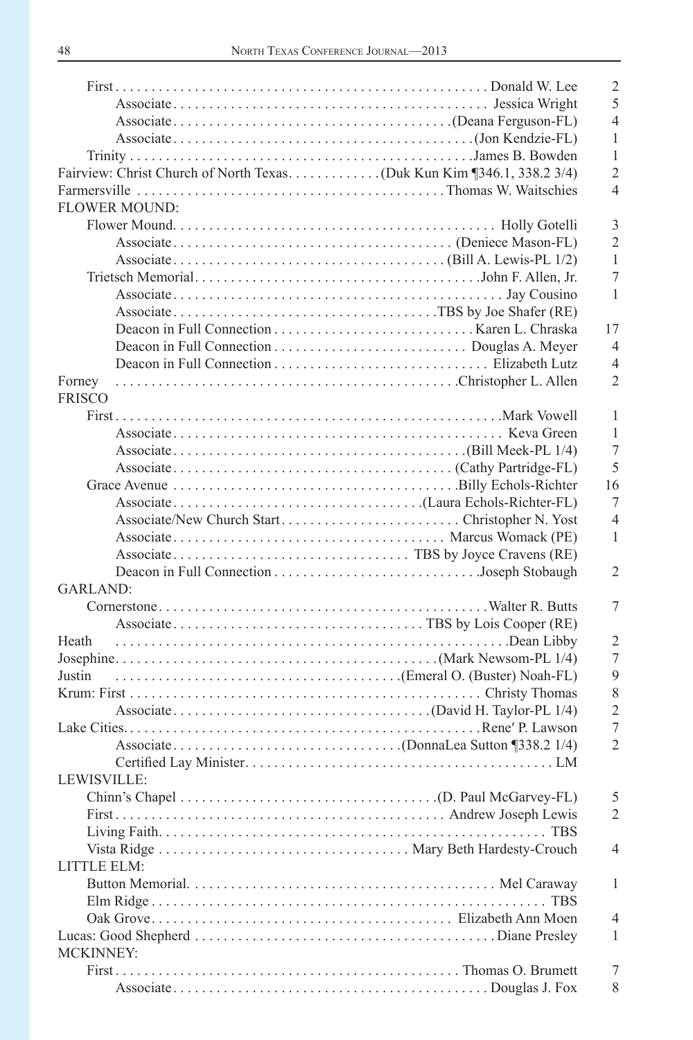|                                               | $\overline{2}$ |
|-----------------------------------------------|----------------|
|                                               | 5              |
|                                               | $\overline{4}$ |
|                                               | 1              |
|                                               | 1              |
|                                               | $\overline{2}$ |
|                                               | $\overline{4}$ |
| <b>FLOWER MOUND:</b>                          |                |
|                                               | 3              |
|                                               | $\overline{2}$ |
|                                               | 1              |
|                                               | $\overline{7}$ |
|                                               | 1              |
|                                               |                |
|                                               | 17             |
|                                               |                |
|                                               | $\overline{4}$ |
|                                               | $\overline{4}$ |
| Forney                                        | $\overline{2}$ |
| <b>FRISCO</b>                                 |                |
|                                               | 1              |
|                                               | 1              |
|                                               | 7              |
|                                               | 5              |
|                                               | 16             |
|                                               | 7              |
| Associate/New Church StartChristopher N. Yost | $\overline{4}$ |
|                                               | $\mathbf{1}$   |
|                                               |                |
|                                               | $\overline{2}$ |
| <b>GARLAND:</b>                               |                |
|                                               | 7              |
|                                               |                |
| Heath                                         | 2              |
|                                               | $\overline{7}$ |
|                                               | 9              |
|                                               | 8              |
|                                               | $\overline{2}$ |
|                                               | 7              |
|                                               | $\overline{2}$ |
|                                               |                |
| LEWISVILLE:                                   |                |
|                                               | 5              |
|                                               | 2              |
|                                               |                |
|                                               |                |
|                                               | 4              |
| LITTLE ELM:                                   |                |
|                                               | 1              |
|                                               |                |
|                                               | 4              |
|                                               | 1              |
| <b>MCKINNEY:</b>                              |                |
|                                               | 7              |
|                                               | 8              |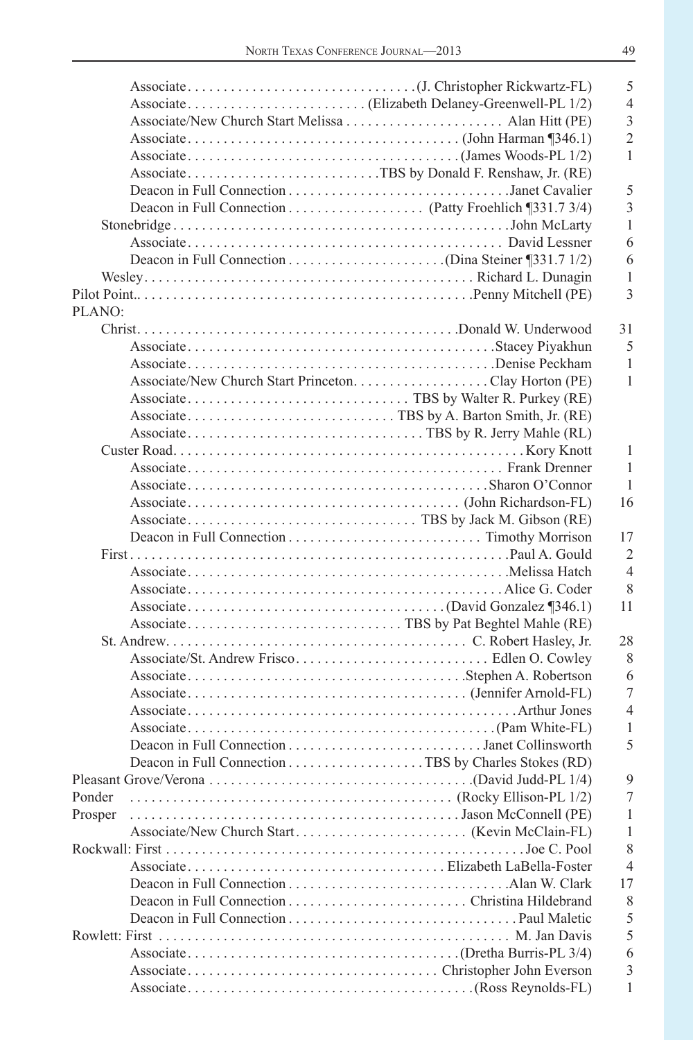|                                  | 5                |
|----------------------------------|------------------|
|                                  | $\overline{4}$   |
|                                  | $\overline{3}$   |
|                                  | $\overline{2}$   |
|                                  | 1                |
|                                  |                  |
|                                  | 5                |
|                                  | 3                |
|                                  | 1                |
|                                  | 6                |
|                                  | 6                |
|                                  |                  |
|                                  | 1<br>3           |
|                                  |                  |
| PLANO:                           |                  |
|                                  | 31               |
|                                  | 5                |
|                                  | 1                |
|                                  | $\mathbf{1}$     |
|                                  |                  |
|                                  |                  |
|                                  |                  |
|                                  | 1                |
|                                  | 1                |
|                                  | $\mathbf{1}$     |
|                                  | 16               |
|                                  |                  |
|                                  | 17               |
|                                  | $\overline{2}$   |
|                                  | $\overline{4}$   |
|                                  | 8                |
|                                  | 11               |
|                                  |                  |
|                                  | 28               |
|                                  | 8                |
|                                  |                  |
|                                  | 6                |
|                                  | $\overline{7}$   |
|                                  | $\overline{4}$   |
|                                  | 1                |
|                                  | 5                |
|                                  |                  |
|                                  | 9                |
| (Rocky Ellison-PL 1/2)<br>Ponder | $\boldsymbol{7}$ |
| Prosper                          | 1                |
|                                  | 1                |
|                                  | 8                |
|                                  | $\overline{4}$   |
|                                  | 17               |
|                                  | 8                |
|                                  | 5                |
|                                  | 5                |
|                                  | 6                |
|                                  | 3                |
|                                  | 1                |
|                                  |                  |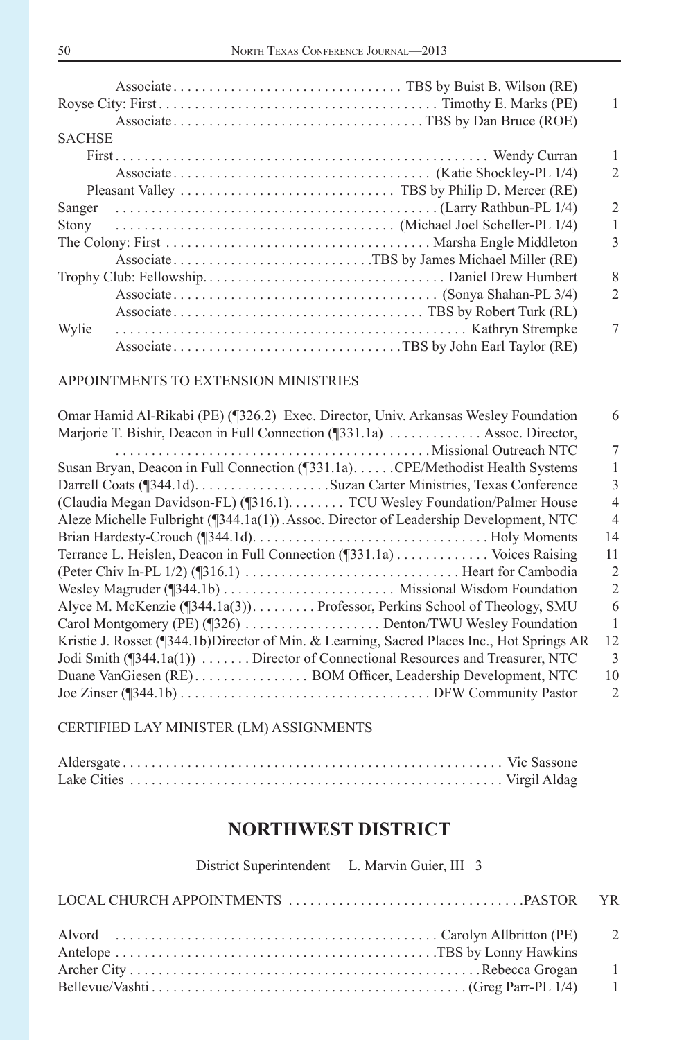|               |                                           | 1                             |
|---------------|-------------------------------------------|-------------------------------|
|               |                                           |                               |
| <b>SACHSE</b> |                                           |                               |
|               |                                           | 1                             |
|               |                                           | $\mathfrak{D}_{\mathfrak{p}}$ |
|               |                                           |                               |
| Sanger        |                                           | $\mathfrak{D}$                |
| Stony         |                                           | 1                             |
|               |                                           | 3                             |
|               | AssociateTBS by James Michael Miller (RE) |                               |
|               |                                           | 8                             |
|               |                                           | $\mathcal{D}$                 |
|               |                                           |                               |
| Wylie         |                                           | 7                             |
|               | AssociateTBS by John Earl Taylor (RE)     |                               |
|               |                                           |                               |

| Omar Hamid Al-Rikabi (PE) (¶326.2) Exec. Director, Univ. Arkansas Wesley Foundation            | 6              |
|------------------------------------------------------------------------------------------------|----------------|
| Marjorie T. Bishir, Deacon in Full Connection (1331.1a)  Assoc. Director,                      |                |
| Missional Outreach NTC                                                                         | 7              |
| Susan Bryan, Deacon in Full Connection (¶331.1a)CPE/Methodist Health Systems                   | 1              |
|                                                                                                | 3              |
| (Claudia Megan Davidson-FL) (¶316.1). TCU Wesley Foundation/Palmer House                       | 4              |
| Aleze Michelle Fulbright $(\sqrt{344.1a(1)})$ . Assoc. Director of Leadership Development, NTC | $\overline{4}$ |
|                                                                                                | 14             |
| Terrance L. Heislen, Deacon in Full Connection (¶331.1a) Voices Raising                        | 11             |
|                                                                                                | $\overline{2}$ |
|                                                                                                | $\overline{c}$ |
| Alyce M. McKenzie (¶344.1a(3)) Professor, Perkins School of Theology, SMU                      | 6              |
| Carol Montgomery (PE) (¶326) Denton/TWU Wesley Foundation                                      | 1              |
| Kristie J. Rosset (¶344.1b)Director of Min. & Learning, Sacred Places Inc., Hot Springs AR     | 12             |
| Jodi Smith $(\sqrt{344.1a(1)})$ Director of Connectional Resources and Treasurer, NTC          | 3              |
| Duane VanGiesen (RE). BOM Officer, Leadership Development, NTC                                 | 10             |
|                                                                                                | 2              |
|                                                                                                |                |

### CERTIFIED LAY MINISTER (LM) ASSIGNMENTS

### **NORTHWEST DISTRICT**

District Superintendent L. Marvin Guier, III 3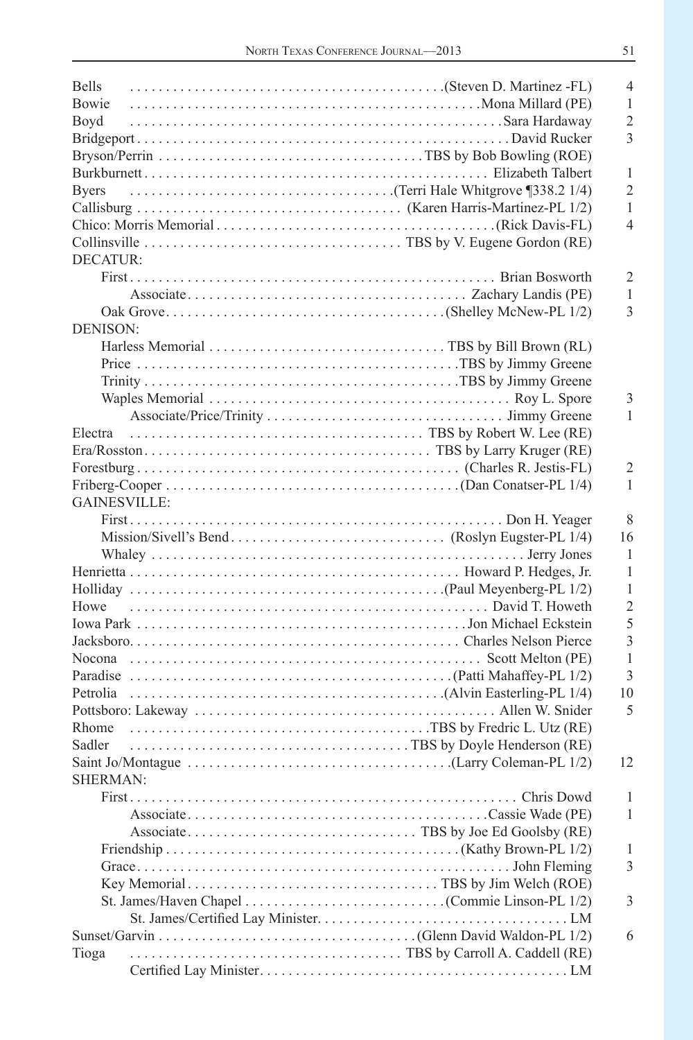| <b>Bells</b>                         | $\overline{4}$ |
|--------------------------------------|----------------|
| Bowie                                | 1              |
| Boyd                                 | $\overline{2}$ |
|                                      | 3              |
|                                      |                |
|                                      | 1              |
| <b>Byers</b>                         | $\overline{2}$ |
|                                      | 1              |
|                                      | $\overline{4}$ |
|                                      |                |
| DECATUR:                             |                |
|                                      | $\overline{2}$ |
|                                      | 1              |
|                                      | 3              |
| DENISON:                             |                |
|                                      |                |
|                                      |                |
|                                      |                |
|                                      |                |
|                                      | 3              |
|                                      | $\mathbf{1}$   |
| Electra<br>TBS by Robert W. Lee (RE) |                |
|                                      |                |
|                                      | $\overline{2}$ |
|                                      | $\mathbf{1}$   |
| <b>GAINESVILLE:</b>                  |                |
|                                      | 8              |
|                                      | 16             |
|                                      | 1              |
|                                      | $\mathbf{1}$   |
|                                      | $\mathbf{1}$   |
| Howe                                 | $\overline{2}$ |
|                                      | 5              |
|                                      | 3              |
|                                      | $\mathbf{1}$   |
|                                      | 3              |
|                                      | 10             |
|                                      | 5              |
|                                      |                |
| Sadler                               |                |
|                                      | 12             |
| <b>SHERMAN:</b>                      |                |
| First.<br>Chris Dowd                 | $\overline{1}$ |
|                                      | 1              |
|                                      |                |
|                                      |                |
|                                      | 1              |
|                                      | 3              |
|                                      |                |
|                                      | 3              |
|                                      |                |
|                                      | 6              |
| Tioga                                |                |
|                                      |                |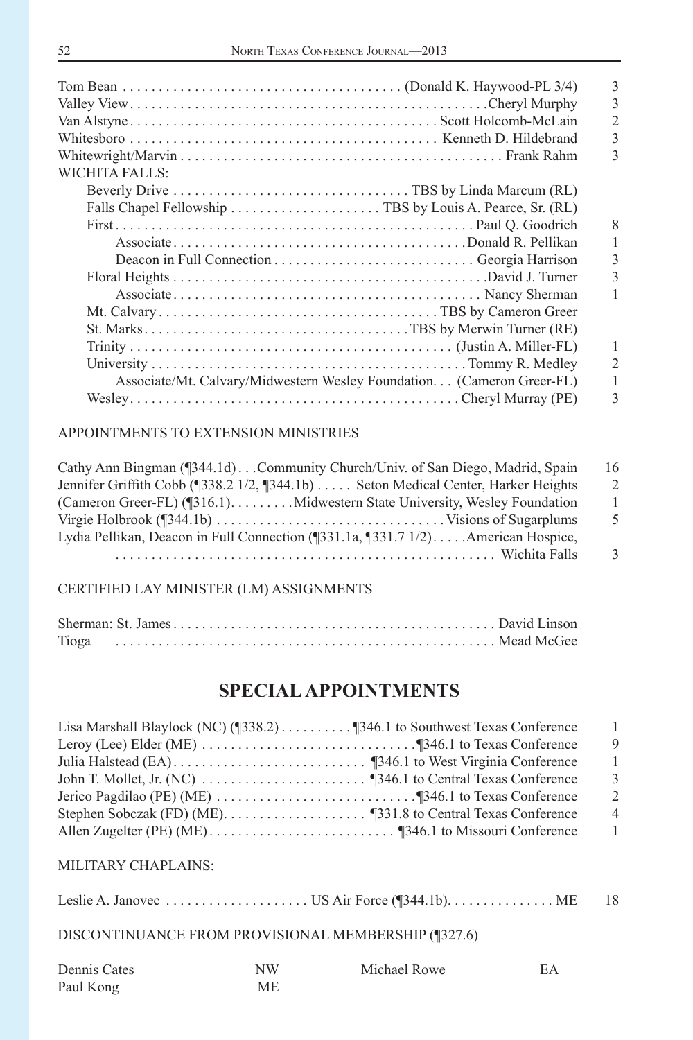|                                                                        | 3              |
|------------------------------------------------------------------------|----------------|
|                                                                        | 3              |
|                                                                        | $\overline{2}$ |
|                                                                        | 3              |
|                                                                        | 3              |
| WICHITA FALLS:                                                         |                |
|                                                                        |                |
|                                                                        |                |
|                                                                        | 8              |
|                                                                        |                |
|                                                                        | 3              |
|                                                                        |                |
|                                                                        |                |
|                                                                        |                |
|                                                                        |                |
|                                                                        | 1              |
|                                                                        | $\overline{2}$ |
| Associate/Mt. Calvary/Midwestern Wesley Foundation. (Cameron Greer-FL) | 1              |
|                                                                        | 3              |
|                                                                        |                |

| 16            |
|---------------|
| $\mathcal{D}$ |
|               |
| -5            |
|               |
| 3             |
|               |

#### CERTIFIED LAY MINISTER (LM) ASSIGNMENTS

| Tioga |  |  |  |  |
|-------|--|--|--|--|

### **SPECIAL APPOINTMENTS**

| Lisa Marshall Blaylock (NC) (1338.2) 1346.1 to Southwest Texas Conference | - 1            |
|---------------------------------------------------------------------------|----------------|
|                                                                           | - 9            |
|                                                                           | -1             |
|                                                                           | -3             |
|                                                                           | 2              |
|                                                                           | $\overline{4}$ |
|                                                                           | $\overline{1}$ |

### MILITARY CHAPLAINS:

Leslie A. Janovec . . . . . . . . . . . . . . . . . . . . US Air Force (¶344.1b). . . . . . . . . . . . . . . ME 18

### DISCONTINUANCE FROM PROVISIONAL MEMBERSHIP (¶327.6)

| Dennis Cates | NW | Michael Rowe |  |
|--------------|----|--------------|--|
| Paul Kong    | МF |              |  |